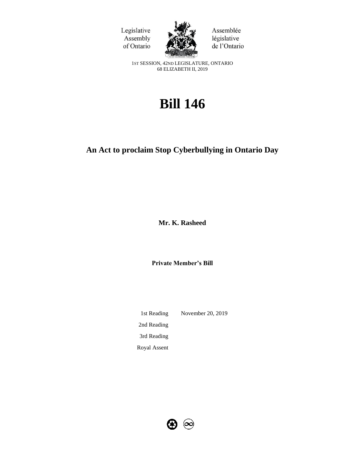



Assemblée législative de l'Ontario

1ST SESSION, 42ND LEGISLATURE, ONTARIO 68 ELIZABETH II, 2019

# **Bill 146**

## **An Act to proclaim Stop Cyberbullying in Ontario Day**

**Mr. K. Rasheed** 

**Private Member's Bill**

1st Reading November 20, 2019 2nd Reading 3rd Reading Royal Assent